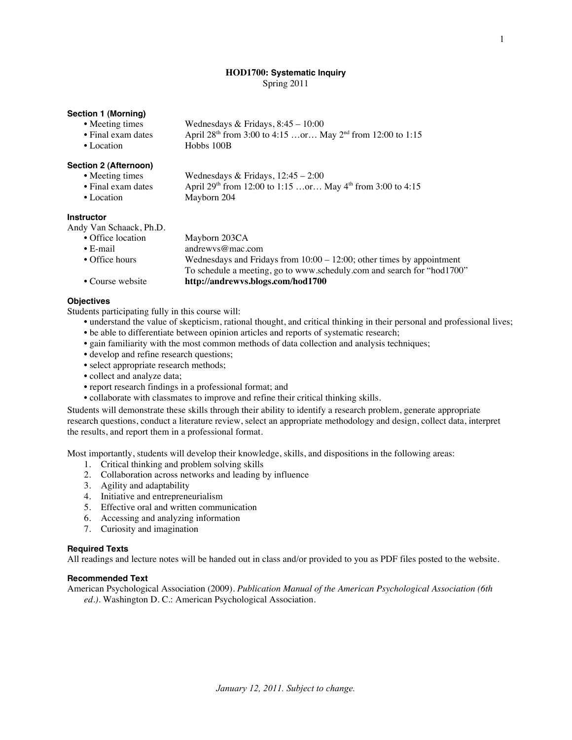# **HOD1700: Systematic Inquiry**

Spring 2011

# **Section 1 (Morning)**

- Meeting times Wednesdays & Fridays,  $8:45 10:00$ • Final exam dates April  $28<sup>th</sup>$  from 3:00 to 4:15 …or… May  $2<sup>nd</sup>$  from 12:00 to 1:15
- Location Hobbs 100B

# **Section 2 (Afternoon)**

| • Meeting times    | Wednesdays & Fridays, $12:45 - 2:00$                                 |
|--------------------|----------------------------------------------------------------------|
| • Final exam dates | April $29^{th}$ from 12:00 to 1:15 or May $4^{th}$ from 3:00 to 4:15 |
| • Location         | Mayborn 204                                                          |

## **Instructor**

Andy Van Schaack, Ph.D.

| • Office location | Mayborn 203CA                                                            |
|-------------------|--------------------------------------------------------------------------|
| $\bullet$ E-mail  | andrewys@mac.com                                                         |
| • Office hours    | Wednesdays and Fridays from $10:00 - 12:00$ ; other times by appointment |
|                   | To schedule a meeting, go to www.scheduly.com and search for "hod1700"   |
| • Course website  | http://andrewys.blogs.com/hod1700                                        |

# **Objectives**

Students participating fully in this course will:

- understand the value of skepticism, rational thought, and critical thinking in their personal and professional lives; • be able to differentiate between opinion articles and reports of systematic research;
- gain familiarity with the most common methods of data collection and analysis techniques;
- develop and refine research questions;
- select appropriate research methods;
- collect and analyze data;
- report research findings in a professional format; and
- collaborate with classmates to improve and refine their critical thinking skills.

Students will demonstrate these skills through their ability to identify a research problem, generate appropriate research questions, conduct a literature review, select an appropriate methodology and design, collect data, interpret the results, and report them in a professional format.

Most importantly, students will develop their knowledge, skills, and dispositions in the following areas:

- 1. Critical thinking and problem solving skills
- 2. Collaboration across networks and leading by influence
- 3. Agility and adaptability
- 4. Initiative and entrepreneurialism
- 5. Effective oral and written communication
- 6. Accessing and analyzing information
- 7. Curiosity and imagination

# **Required Texts**

All readings and lecture notes will be handed out in class and/or provided to you as PDF files posted to the website.

# **Recommended Text**

American Psychological Association (2009). *Publication Manual of the American Psychological Association (6th ed.).* Washington D. C.: American Psychological Association.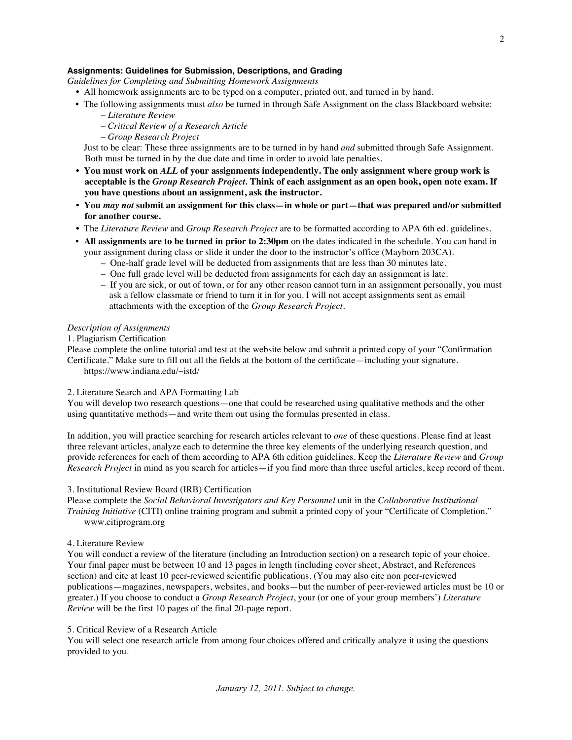## **Assignments: Guidelines for Submission, Descriptions, and Grading**

*Guidelines for Completing and Submitting Homework Assignments*

- All homework assignments are to be typed on a computer, printed out, and turned in by hand.
- The following assignments must *also* be turned in through Safe Assignment on the class Blackboard website:
	- *Literature Review*
	- *Critical Review of a Research Article*
	- *Group Research Project*

Just to be clear: These three assignments are to be turned in by hand *and* submitted through Safe Assignment. Both must be turned in by the due date and time in order to avoid late penalties.

- **• You must work on** *ALL* **of your assignments independently. The only assignment where group work is acceptable is the** *Group Research Project.* **Think of each assignment as an open book, open note exam. If you have questions about an assignment, ask the instructor.**
- **• You** *may not* **submit an assignment for this class—in whole or part—that was prepared and/or submitted for another course.**
- The *Literature Review* and *Group Research Project* are to be formatted according to APA 6th ed. guidelines.
- **All assignments are to be turned in prior to 2:30pm** on the dates indicated in the schedule. You can hand in your assignment during class or slide it under the door to the instructor's office (Mayborn 203CA).
	- One-half grade level will be deducted from assignments that are less than 30 minutes late.
	- One full grade level will be deducted from assignments for each day an assignment is late.
	- *–* If you are sick, or out of town, or for any other reason cannot turn in an assignment personally, you must ask a fellow classmate or friend to turn it in for you. I will not accept assignments sent as email attachments with the exception of the *Group Research Project*.

#### *Description of Assignments*

# 1. Plagiarism Certification

Please complete the online tutorial and test at the website below and submit a printed copy of your "Confirmation Certificate." Make sure to fill out all the fields at the bottom of the certificate—including your signature.

https://www.indiana.edu/~istd/

### 2. Literature Search and APA Formatting Lab

You will develop two research questions—one that could be researched using qualitative methods and the other using quantitative methods—and write them out using the formulas presented in class.

In addition, you will practice searching for research articles relevant to *one* of these questions. Please find at least three relevant articles, analyze each to determine the three key elements of the underlying research question, and provide references for each of them according to APA 6th edition guidelines. Keep the *Literature Review* and *Group Research Project* in mind as you search for articles—if you find more than three useful articles, keep record of them.

# 3. Institutional Review Board (IRB) Certification

Please complete the *Social Behavioral Investigators and Key Personnel* unit in the *Collaborative Institutional Training Initiative* (CITI) online training program and submit a printed copy of your "Certificate of Completion." www.citiprogram.org

#### 4. Literature Review

You will conduct a review of the literature (including an Introduction section) on a research topic of your choice. Your final paper must be between 10 and 13 pages in length (including cover sheet, Abstract, and References section) and cite at least 10 peer-reviewed scientific publications. (You may also cite non peer-reviewed publications—magazines, newspapers, websites, and books—but the number of peer-reviewed articles must be 10 or greater.) If you choose to conduct a *Group Research Project*, your (or one of your group members') *Literature Review* will be the first 10 pages of the final 20-page report.

#### 5. Critical Review of a Research Article

You will select one research article from among four choices offered and critically analyze it using the questions provided to you.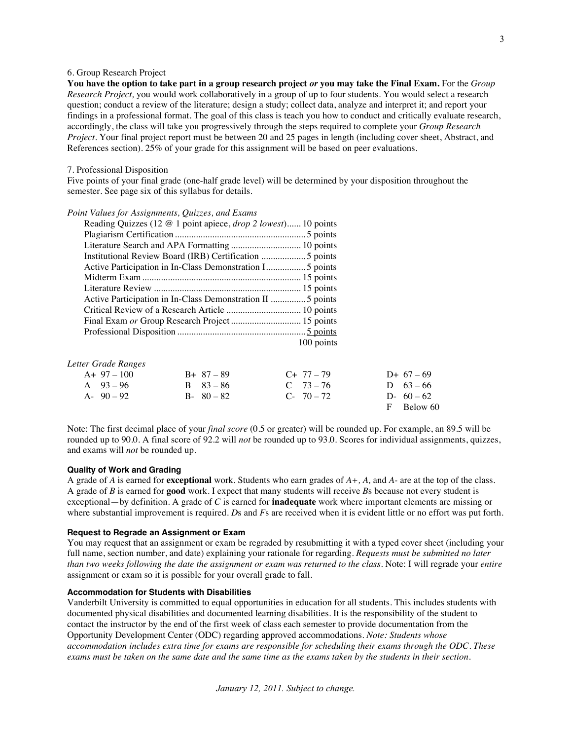# 6. Group Research Project

**You have the option to take part in a group research project** *or* **you may take the Final Exam.** For the *Group Research Project,* you would work collaboratively in a group of up to four students. You would select a research question; conduct a review of the literature; design a study; collect data, analyze and interpret it; and report your findings in a professional format. The goal of this class is teach you how to conduct and critically evaluate research, accordingly, the class will take you progressively through the steps required to complete your *Group Research Project*. Your final project report must be between 20 and 25 pages in length (including cover sheet, Abstract, and References section). 25% of your grade for this assignment will be based on peer evaluations.

#### 7. Professional Disposition

Five points of your final grade (one-half grade level) will be determined by your disposition throughout the semester. See page six of this syllabus for details.

#### *Point Values for Assignments, Quizzes, and Exams*

| Reading Quizzes (12 @ 1 point apiece, <i>drop 2 lowest</i> ) 10 points |
|------------------------------------------------------------------------|
|                                                                        |
|                                                                        |
|                                                                        |
| Active Participation in In-Class Demonstration I 5 points              |
|                                                                        |
|                                                                        |
| Active Participation in In-Class Demonstration II  5 points            |
|                                                                        |
| Final Exam or Group Research Project  15 points                        |
|                                                                        |
| 100 points                                                             |

#### *Letter Grade Ranges*

| $A+97-100$    | $B+87-89$     | $C_{+}$ 77 – 79 | D+ $67-69$  |
|---------------|---------------|-----------------|-------------|
| A $93 - 96$   | $R = 83 - 86$ | $C \t 73 - 76$  | D $63 - 66$ |
| $A - 90 - 92$ | $B - 80 - 82$ | $C - 70 - 72$   | D- $60-62$  |
|               |               |                 | F Below 60  |

Note: The first decimal place of your *final score* (0*.*5 or greater) will be rounded up. For example, an 89.5 will be rounded up to 90.0. A final score of 92.2 will *not* be rounded up to 93.0. Scores for individual assignments, quizzes, and exams will *not* be rounded up.

#### **Quality of Work and Grading**

A grade of *A* is earned for **exceptional** work. Students who earn grades of *A+, A,* and *A-* are at the top of the class. A grade of *B* is earned for **good** work. I expect that many students will receive *B*s because not every student is exceptional—by definition. A grade of *C* is earned for **inadequate** work where important elements are missing or where substantial improvement is required. *D*s and *F*s are received when it is evident little or no effort was put forth.

#### **Request to Regrade an Assignment or Exam**

You may request that an assignment or exam be regraded by resubmitting it with a typed cover sheet (including your full name, section number, and date) explaining your rationale for regarding. *Requests must be submitted no later than two weeks following the date the assignment or exam was returned to the class.* Note: I will regrade your *entire* assignment or exam so it is possible for your overall grade to fall.

#### **Accommodation for Students with Disabilities**

Vanderbilt University is committed to equal opportunities in education for all students. This includes students with documented physical disabilities and documented learning disabilities. It is the responsibility of the student to contact the instructor by the end of the first week of class each semester to provide documentation from the Opportunity Development Center (ODC) regarding approved accommodations. *Note: Students whose accommodation includes extra time for exams are responsible for scheduling their exams through the ODC. These exams must be taken on the same date and the same time as the exams taken by the students in their section.*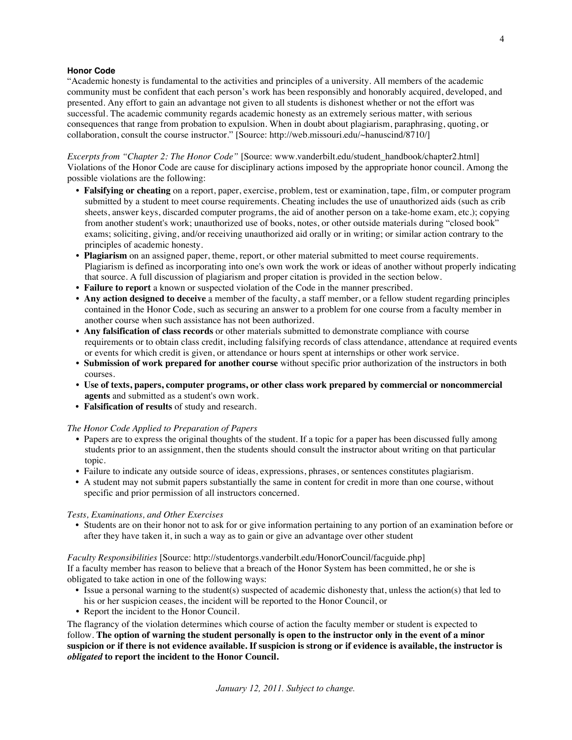# **Honor Code**

"Academic honesty is fundamental to the activities and principles of a university. All members of the academic community must be confident that each person's work has been responsibly and honorably acquired, developed, and presented. Any effort to gain an advantage not given to all students is dishonest whether or not the effort was successful. The academic community regards academic honesty as an extremely serious matter, with serious consequences that range from probation to expulsion. When in doubt about plagiarism, paraphrasing, quoting, or collaboration, consult the course instructor." [Source: http://web.missouri.edu/~hanuscind/8710/]

*Excerpts from "Chapter 2: The Honor Code"* [Source: www.vanderbilt.edu/student\_handbook/chapter2.html] Violations of the Honor Code are cause for disciplinary actions imposed by the appropriate honor council. Among the possible violations are the following:

- **Falsifying or cheating** on a report, paper, exercise, problem, test or examination, tape, film, or computer program submitted by a student to meet course requirements. Cheating includes the use of unauthorized aids (such as crib sheets, answer keys, discarded computer programs, the aid of another person on a take-home exam, etc.); copying from another student's work; unauthorized use of books, notes, or other outside materials during "closed book" exams; soliciting, giving, and/or receiving unauthorized aid orally or in writing; or similar action contrary to the principles of academic honesty.
- **Plagiarism** on an assigned paper, theme, report, or other material submitted to meet course requirements. Plagiarism is defined as incorporating into one's own work the work or ideas of another without properly indicating that source. A full discussion of plagiarism and proper citation is provided in the section below.
- **Failure to report** a known or suspected violation of the Code in the manner prescribed.
- **Any action designed to deceive** a member of the faculty, a staff member, or a fellow student regarding principles contained in the Honor Code, such as securing an answer to a problem for one course from a faculty member in another course when such assistance has not been authorized.
- **Any falsification of class records** or other materials submitted to demonstrate compliance with course requirements or to obtain class credit, including falsifying records of class attendance, attendance at required events or events for which credit is given, or attendance or hours spent at internships or other work service.
- **Submission of work prepared for another course** without specific prior authorization of the instructors in both courses.
- **Use of texts, papers, computer programs, or other class work prepared by commercial or noncommercial agents** and submitted as a student's own work.
- **Falsification of results** of study and research.

## *The Honor Code Applied to Preparation of Papers*

- Papers are to express the original thoughts of the student. If a topic for a paper has been discussed fully among students prior to an assignment, then the students should consult the instructor about writing on that particular topic.
- Failure to indicate any outside source of ideas, expressions, phrases, or sentences constitutes plagiarism.
- A student may not submit papers substantially the same in content for credit in more than one course, without specific and prior permission of all instructors concerned.

#### *Tests, Examinations, and Other Exercises*

• Students are on their honor not to ask for or give information pertaining to any portion of an examination before or after they have taken it, in such a way as to gain or give an advantage over other student

## *Faculty Responsibilities* [Source: http://studentorgs.vanderbilt.edu/HonorCouncil/facguide.php]

If a faculty member has reason to believe that a breach of the Honor System has been committed, he or she is obligated to take action in one of the following ways:

- Issue a personal warning to the student(s) suspected of academic dishonesty that, unless the action(s) that led to his or her suspicion ceases, the incident will be reported to the Honor Council, or
- Report the incident to the Honor Council.

The flagrancy of the violation determines which course of action the faculty member or student is expected to follow. **The option of warning the student personally is open to the instructor only in the event of a minor suspicion or if there is not evidence available. If suspicion is strong or if evidence is available, the instructor is**  *obligated* **to report the incident to the Honor Council.**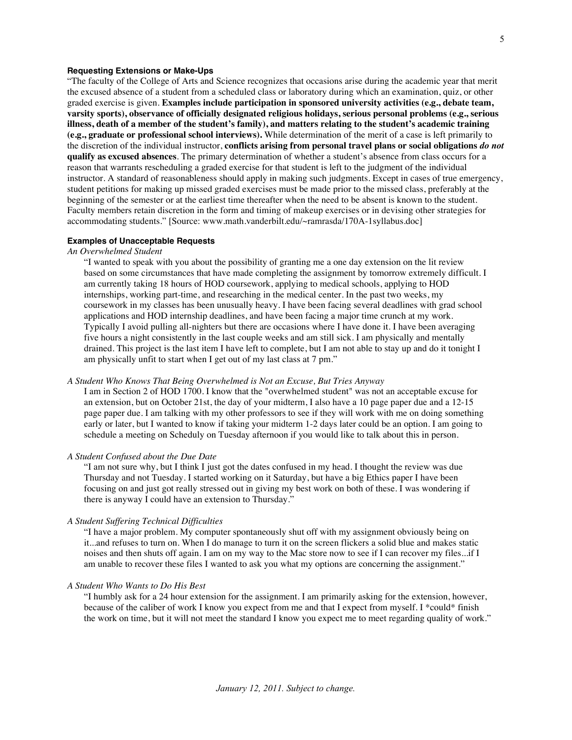### **Requesting Extensions or Make-Ups**

"The faculty of the College of Arts and Science recognizes that occasions arise during the academic year that merit the excused absence of a student from a scheduled class or laboratory during which an examination, quiz, or other graded exercise is given. **Examples include participation in sponsored university activities (e.g., debate team, varsity sports), observance of officially designated religious holidays, serious personal problems (e.g., serious illness, death of a member of the student's family), and matters relating to the student's academic training (e.g., graduate or professional school interviews).** While determination of the merit of a case is left primarily to the discretion of the individual instructor, **conflicts arising from personal travel plans or social obligations** *do not*  **qualify as excused absences**. The primary determination of whether a student's absence from class occurs for a reason that warrants rescheduling a graded exercise for that student is left to the judgment of the individual instructor. A standard of reasonableness should apply in making such judgments. Except in cases of true emergency, student petitions for making up missed graded exercises must be made prior to the missed class, preferably at the beginning of the semester or at the earliest time thereafter when the need to be absent is known to the student. Faculty members retain discretion in the form and timing of makeup exercises or in devising other strategies for accommodating students." [Source: www.math.vanderbilt.edu/~ramrasda/170A-1syllabus.doc]

## **Examples of Unacceptable Requests**

#### *An Overwhelmed Student*

"I wanted to speak with you about the possibility of granting me a one day extension on the lit review based on some circumstances that have made completing the assignment by tomorrow extremely difficult. I am currently taking 18 hours of HOD coursework, applying to medical schools, applying to HOD internships, working part-time, and researching in the medical center. In the past two weeks, my coursework in my classes has been unusually heavy. I have been facing several deadlines with grad school applications and HOD internship deadlines, and have been facing a major time crunch at my work. Typically I avoid pulling all-nighters but there are occasions where I have done it. I have been averaging five hours a night consistently in the last couple weeks and am still sick. I am physically and mentally drained. This project is the last item I have left to complete, but I am not able to stay up and do it tonight I am physically unfit to start when I get out of my last class at 7 pm."

## *A Student Who Knows That Being Overwhelmed is Not an Excuse, But Tries Anyway*

I am in Section 2 of HOD 1700. I know that the "overwhelmed student" was not an acceptable excuse for an extension, but on October 21st, the day of your midterm, I also have a 10 page paper due and a 12-15 page paper due. I am talking with my other professors to see if they will work with me on doing something early or later, but I wanted to know if taking your midterm 1-2 days later could be an option. I am going to schedule a meeting on Scheduly on Tuesday afternoon if you would like to talk about this in person.

## *A Student Confused about the Due Date*

"I am not sure why, but I think I just got the dates confused in my head. I thought the review was due Thursday and not Tuesday. I started working on it Saturday, but have a big Ethics paper I have been focusing on and just got really stressed out in giving my best work on both of these. I was wondering if there is anyway I could have an extension to Thursday."

## *A Student Suffering Technical Difficulties*

"I have a major problem. My computer spontaneously shut off with my assignment obviously being on it...and refuses to turn on. When I do manage to turn it on the screen flickers a solid blue and makes static noises and then shuts off again. I am on my way to the Mac store now to see if I can recover my files...if I am unable to recover these files I wanted to ask you what my options are concerning the assignment."

## *A Student Who Wants to Do His Best*

"I humbly ask for a 24 hour extension for the assignment. I am primarily asking for the extension, however, because of the caliber of work I know you expect from me and that I expect from myself. I \*could\* finish the work on time, but it will not meet the standard I know you expect me to meet regarding quality of work."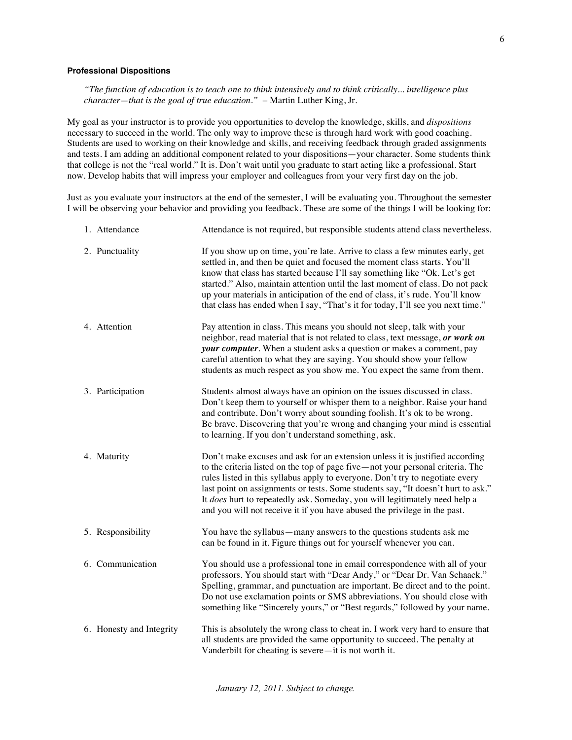## **Professional Dispositions**

*"The function of education is to teach one to think intensively and to think critically... intelligence plus character—that is the goal of true education."* – Martin Luther King, Jr.

My goal as your instructor is to provide you opportunities to develop the knowledge, skills, and *dispositions* necessary to succeed in the world. The only way to improve these is through hard work with good coaching. Students are used to working on their knowledge and skills, and receiving feedback through graded assignments and tests. I am adding an additional component related to your dispositions—your character. Some students think that college is not the "real world." It is. Don't wait until you graduate to start acting like a professional. Start now. Develop habits that will impress your employer and colleagues from your very first day on the job.

Just as you evaluate your instructors at the end of the semester, I will be evaluating you. Throughout the semester I will be observing your behavior and providing you feedback. These are some of the things I will be looking for:

| 1. Attendance            | Attendance is not required, but responsible students attend class nevertheless.                                                                                                                                                                                                                                                                                                                                                                                                                |
|--------------------------|------------------------------------------------------------------------------------------------------------------------------------------------------------------------------------------------------------------------------------------------------------------------------------------------------------------------------------------------------------------------------------------------------------------------------------------------------------------------------------------------|
| 2. Punctuality           | If you show up on time, you're late. Arrive to class a few minutes early, get<br>settled in, and then be quiet and focused the moment class starts. You'll<br>know that class has started because I'll say something like "Ok. Let's get<br>started." Also, maintain attention until the last moment of class. Do not pack<br>up your materials in anticipation of the end of class, it's rude. You'll know<br>that class has ended when I say, "That's it for today, I'll see you next time." |
| 4. Attention             | Pay attention in class. This means you should not sleep, talk with your<br>neighbor, read material that is not related to class, text message, or work on<br>your computer. When a student asks a question or makes a comment, pay<br>careful attention to what they are saying. You should show your fellow<br>students as much respect as you show me. You expect the same from them.                                                                                                        |
| 3. Participation         | Students almost always have an opinion on the issues discussed in class.<br>Don't keep them to yourself or whisper them to a neighbor. Raise your hand<br>and contribute. Don't worry about sounding foolish. It's ok to be wrong.<br>Be brave. Discovering that you're wrong and changing your mind is essential<br>to learning. If you don't understand something, ask.                                                                                                                      |
| 4. Maturity              | Don't make excuses and ask for an extension unless it is justified according<br>to the criteria listed on the top of page five-not your personal criteria. The<br>rules listed in this syllabus apply to everyone. Don't try to negotiate every<br>last point on assignments or tests. Some students say, "It doesn't hurt to ask."<br>It does hurt to repeatedly ask. Someday, you will legitimately need help a<br>and you will not receive it if you have abused the privilege in the past. |
| 5. Responsibility        | You have the syllabus—many answers to the questions students ask me<br>can be found in it. Figure things out for yourself whenever you can.                                                                                                                                                                                                                                                                                                                                                    |
| 6. Communication         | You should use a professional tone in email correspondence with all of your<br>professors. You should start with "Dear Andy," or "Dear Dr. Van Schaack."<br>Spelling, grammar, and punctuation are important. Be direct and to the point.<br>Do not use exclamation points or SMS abbreviations. You should close with<br>something like "Sincerely yours," or "Best regards," followed by your name.                                                                                          |
| 6. Honesty and Integrity | This is absolutely the wrong class to cheat in. I work very hard to ensure that<br>all students are provided the same opportunity to succeed. The penalty at<br>Vanderbilt for cheating is severe-it is not worth it.                                                                                                                                                                                                                                                                          |